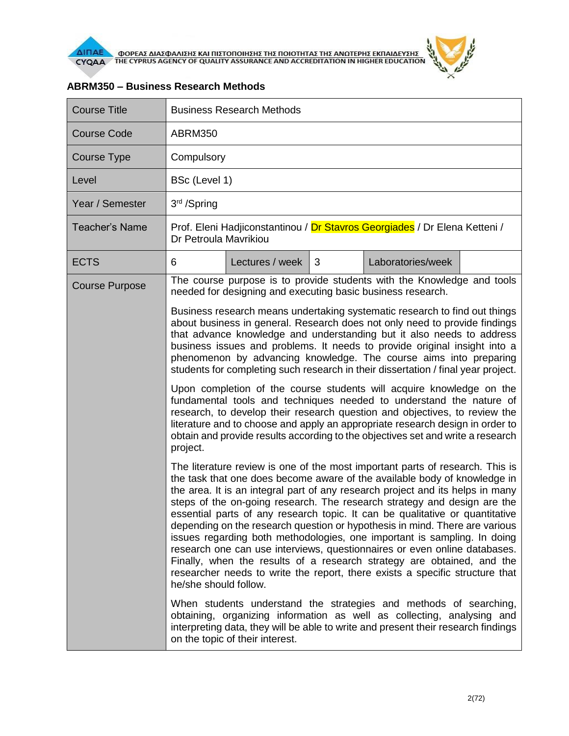

| <b>Course Title</b>   | <b>Business Research Methods</b>                                                                                                                                                                                                                                                                                                                                                                                                                                                                                                                                                                                                                                                                                                                                                                                                                                                                                                                                                   |                 |   |                   |  |  |
|-----------------------|------------------------------------------------------------------------------------------------------------------------------------------------------------------------------------------------------------------------------------------------------------------------------------------------------------------------------------------------------------------------------------------------------------------------------------------------------------------------------------------------------------------------------------------------------------------------------------------------------------------------------------------------------------------------------------------------------------------------------------------------------------------------------------------------------------------------------------------------------------------------------------------------------------------------------------------------------------------------------------|-----------------|---|-------------------|--|--|
| <b>Course Code</b>    | <b>ABRM350</b>                                                                                                                                                                                                                                                                                                                                                                                                                                                                                                                                                                                                                                                                                                                                                                                                                                                                                                                                                                     |                 |   |                   |  |  |
| Course Type           | Compulsory                                                                                                                                                                                                                                                                                                                                                                                                                                                                                                                                                                                                                                                                                                                                                                                                                                                                                                                                                                         |                 |   |                   |  |  |
| Level                 | BSc (Level 1)                                                                                                                                                                                                                                                                                                                                                                                                                                                                                                                                                                                                                                                                                                                                                                                                                                                                                                                                                                      |                 |   |                   |  |  |
| Year / Semester       | 3 <sup>rd</sup> /Spring                                                                                                                                                                                                                                                                                                                                                                                                                                                                                                                                                                                                                                                                                                                                                                                                                                                                                                                                                            |                 |   |                   |  |  |
| <b>Teacher's Name</b> | Prof. Eleni Hadjiconstantinou / Dr Stavros Georgiades / Dr Elena Ketteni /<br>Dr Petroula Mavrikiou                                                                                                                                                                                                                                                                                                                                                                                                                                                                                                                                                                                                                                                                                                                                                                                                                                                                                |                 |   |                   |  |  |
| <b>ECTS</b>           | 6                                                                                                                                                                                                                                                                                                                                                                                                                                                                                                                                                                                                                                                                                                                                                                                                                                                                                                                                                                                  | Lectures / week | 3 | Laboratories/week |  |  |
| <b>Course Purpose</b> | The course purpose is to provide students with the Knowledge and tools<br>needed for designing and executing basic business research.                                                                                                                                                                                                                                                                                                                                                                                                                                                                                                                                                                                                                                                                                                                                                                                                                                              |                 |   |                   |  |  |
|                       | Business research means undertaking systematic research to find out things<br>about business in general. Research does not only need to provide findings<br>that advance knowledge and understanding but it also needs to address<br>business issues and problems. It needs to provide original insight into a<br>phenomenon by advancing knowledge. The course aims into preparing<br>students for completing such research in their dissertation / final year project.<br>Upon completion of the course students will acquire knowledge on the<br>fundamental tools and techniques needed to understand the nature of<br>research, to develop their research question and objectives, to review the<br>literature and to choose and apply an appropriate research design in order to<br>obtain and provide results according to the objectives set and write a research                                                                                                          |                 |   |                   |  |  |
|                       | The literature review is one of the most important parts of research. This is<br>the task that one does become aware of the available body of knowledge in<br>the area. It is an integral part of any research project and its helps in many<br>steps of the on-going research. The research strategy and design are the<br>essential parts of any research topic. It can be qualitative or quantitative<br>depending on the research question or hypothesis in mind. There are various<br>issues regarding both methodologies, one important is sampling. In doing<br>research one can use interviews, questionnaires or even online databases.<br>Finally, when the results of a research strategy are obtained, and the<br>researcher needs to write the report, there exists a specific structure that<br>he/she should follow.<br>When students understand the strategies and methods of searching,<br>obtaining, organizing information as well as collecting, analysing and |                 |   |                   |  |  |
|                       | project.<br>interpreting data, they will be able to write and present their research findings<br>on the topic of their interest.                                                                                                                                                                                                                                                                                                                                                                                                                                                                                                                                                                                                                                                                                                                                                                                                                                                   |                 |   |                   |  |  |

## **ABRM350 – Business Research Methods**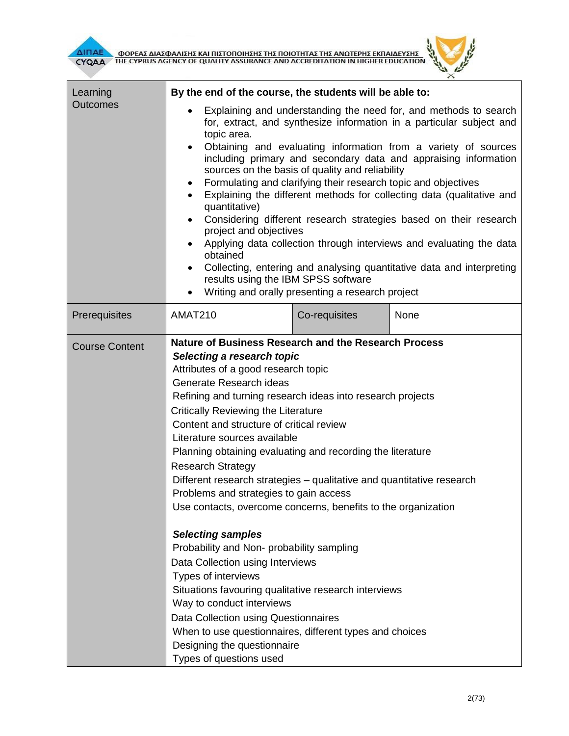| Learning              | By the end of the course, the students will be able to:                                                                                                                                                                                                                                                                                                                                                                                                                                                                                                                                                                                                                                                                                                                                                                                                                                                                                                                                                                 |               |      |  |  |  |
|-----------------------|-------------------------------------------------------------------------------------------------------------------------------------------------------------------------------------------------------------------------------------------------------------------------------------------------------------------------------------------------------------------------------------------------------------------------------------------------------------------------------------------------------------------------------------------------------------------------------------------------------------------------------------------------------------------------------------------------------------------------------------------------------------------------------------------------------------------------------------------------------------------------------------------------------------------------------------------------------------------------------------------------------------------------|---------------|------|--|--|--|
| <b>Outcomes</b>       | Explaining and understanding the need for, and methods to search<br>for, extract, and synthesize information in a particular subject and<br>topic area.<br>Obtaining and evaluating information from a variety of sources<br>$\bullet$<br>including primary and secondary data and appraising information<br>sources on the basis of quality and reliability<br>Formulating and clarifying their research topic and objectives<br>$\bullet$<br>Explaining the different methods for collecting data (qualitative and<br>$\bullet$<br>quantitative)<br>Considering different research strategies based on their research<br>٠<br>project and objectives<br>Applying data collection through interviews and evaluating the data<br>$\bullet$<br>obtained<br>Collecting, entering and analysing quantitative data and interpreting<br>$\bullet$<br>results using the IBM SPSS software<br>Writing and orally presenting a research project                                                                                 |               |      |  |  |  |
| Prerequisites         | AMAT210                                                                                                                                                                                                                                                                                                                                                                                                                                                                                                                                                                                                                                                                                                                                                                                                                                                                                                                                                                                                                 | Co-requisites | None |  |  |  |
| <b>Course Content</b> | <b>Nature of Business Research and the Research Process</b><br>Selecting a research topic<br>Attributes of a good research topic<br>Generate Research ideas<br>Refining and turning research ideas into research projects<br><b>Critically Reviewing the Literature</b><br>Content and structure of critical review<br>Literature sources available<br>Planning obtaining evaluating and recording the literature<br><b>Research Strategy</b><br>Different research strategies – qualitative and quantitative research<br>Problems and strategies to gain access<br>Use contacts, overcome concerns, benefits to the organization<br><b>Selecting samples</b><br>Probability and Non- probability sampling<br>Data Collection using Interviews<br>Types of interviews<br>Situations favouring qualitative research interviews<br>Way to conduct interviews<br>Data Collection using Questionnaires<br>When to use questionnaires, different types and choices<br>Designing the questionnaire<br>Types of questions used |               |      |  |  |  |

 $\theta$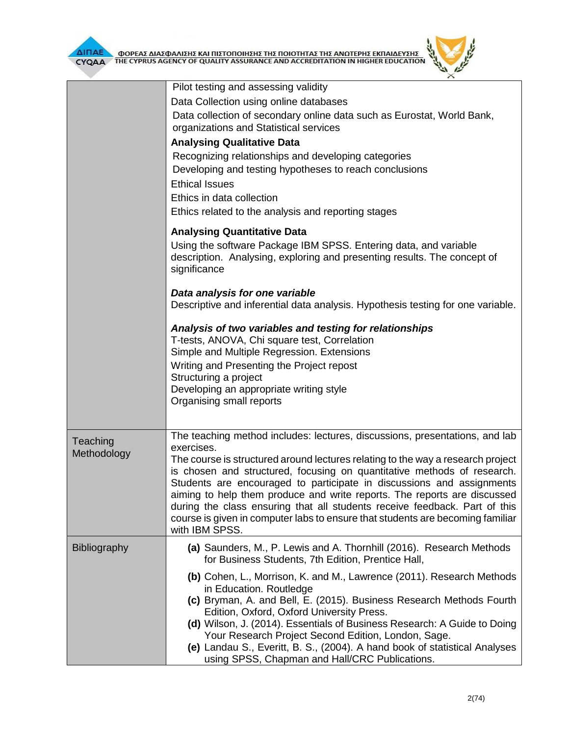

**AITIAE OPEAE AIAZOANIZHE KAI TIIZTOTIOIHEHE THE TOIOTHTAE THE ANOTEPHE EKTIAIAEYEHE** 



|                         | Pilot testing and assessing validity<br>Data Collection using online databases<br>Data collection of secondary online data such as Eurostat, World Bank,<br>organizations and Statistical services<br><b>Analysing Qualitative Data</b><br>Recognizing relationships and developing categories<br>Developing and testing hypotheses to reach conclusions<br><b>Ethical Issues</b><br>Ethics in data collection<br>Ethics related to the analysis and reporting stages                                                                                                                          |
|-------------------------|------------------------------------------------------------------------------------------------------------------------------------------------------------------------------------------------------------------------------------------------------------------------------------------------------------------------------------------------------------------------------------------------------------------------------------------------------------------------------------------------------------------------------------------------------------------------------------------------|
|                         | <b>Analysing Quantitative Data</b><br>Using the software Package IBM SPSS. Entering data, and variable<br>description. Analysing, exploring and presenting results. The concept of<br>significance                                                                                                                                                                                                                                                                                                                                                                                             |
|                         | Data analysis for one variable<br>Descriptive and inferential data analysis. Hypothesis testing for one variable.                                                                                                                                                                                                                                                                                                                                                                                                                                                                              |
|                         | Analysis of two variables and testing for relationships<br>T-tests, ANOVA, Chi square test, Correlation<br>Simple and Multiple Regression. Extensions<br>Writing and Presenting the Project repost<br>Structuring a project<br>Developing an appropriate writing style<br>Organising small reports                                                                                                                                                                                                                                                                                             |
| Teaching<br>Methodology | The teaching method includes: lectures, discussions, presentations, and lab<br>exercises.<br>The course is structured around lectures relating to the way a research project<br>is chosen and structured, focusing on quantitative methods of research.<br>Students are encouraged to participate in discussions and assignments<br>aiming to help them produce and write reports. The reports are discussed<br>during the class ensuring that all students receive feedback. Part of this<br>course is given in computer labs to ensure that students are becoming familiar<br>with IBM SPSS. |
| <b>Bibliography</b>     | (a) Saunders, M., P. Lewis and A. Thornhill (2016). Research Methods<br>for Business Students, 7th Edition, Prentice Hall,                                                                                                                                                                                                                                                                                                                                                                                                                                                                     |
|                         | (b) Cohen, L., Morrison, K. and M., Lawrence (2011). Research Methods<br>in Education. Routledge<br>(c) Bryman, A. and Bell, E. (2015). Business Research Methods Fourth<br>Edition, Oxford, Oxford University Press.<br>(d) Wilson, J. (2014). Essentials of Business Research: A Guide to Doing<br>Your Research Project Second Edition, London, Sage.<br>(e) Landau S., Everitt, B. S., (2004). A hand book of statistical Analyses<br>using SPSS, Chapman and Hall/CRC Publications.                                                                                                       |